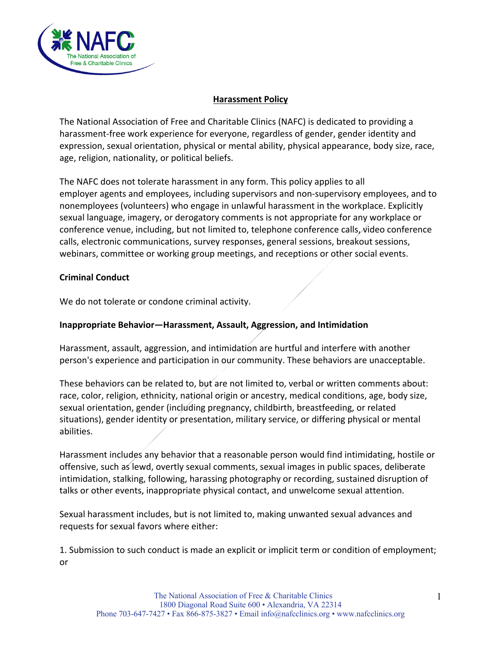

## **Harassment Policy**

The National Association of Free and Charitable Clinics (NAFC) is dedicated to providing a harassment-free work experience for everyone, regardless of gender, gender identity and expression, sexual orientation, physical or mental ability, physical appearance, body size, race, age, religion, nationality, or political beliefs.

The NAFC does not tolerate harassment in any form. This policy applies to all employer agents and employees, including supervisors and non-supervisory employees, and to nonemployees (volunteers) who engage in unlawful harassment in the workplace. Explicitly sexual language, imagery, or derogatory comments is not appropriate for any workplace or conference venue, including, but not limited to, telephone conference calls, video conference calls, electronic communications, survey responses, general sessions, breakout sessions, webinars, committee or working group meetings, and receptions or other social events.

#### **Criminal Conduct**

We do not tolerate or condone criminal activity.

### **Inappropriate Behavior—Harassment, Assault, Aggression, and Intimidation**

Harassment, assault, aggression, and intimidation are hurtful and interfere with another person's experience and participation in our community. These behaviors are unacceptable.

These behaviors can be related to, but are not limited to, verbal or written comments about: race, color, religion, ethnicity, national origin or ancestry, medical conditions, age, body size, sexual orientation, gender (including pregnancy, childbirth, breastfeeding, or related situations), gender identity or presentation, military service, or differing physical or mental abilities.

Harassment includes any behavior that a reasonable person would find intimidating, hostile or offensive, such as lewd, overtly sexual comments, sexual images in public spaces, deliberate intimidation, stalking, following, harassing photography or recording, sustained disruption of talks or other events, inappropriate physical contact, and unwelcome sexual attention.

Sexual harassment includes, but is not limited to, making unwanted sexual advances and requests for sexual favors where either:

1. Submission to such conduct is made an explicit or implicit term or condition of employment; or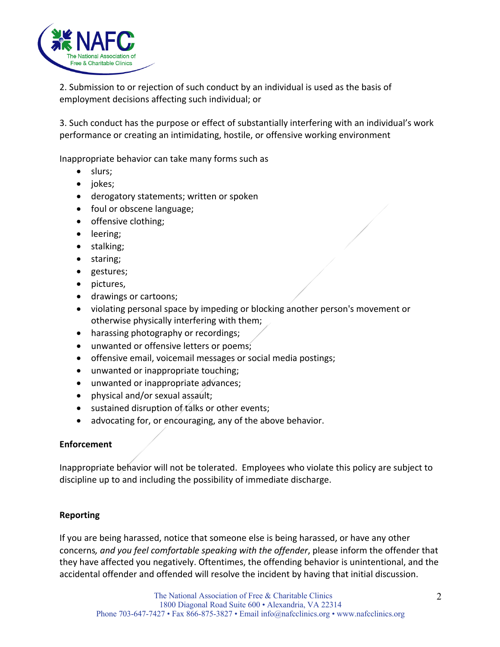

2. Submission to or rejection of such conduct by an individual is used as the basis of employment decisions affecting such individual; or

3. Such conduct has the purpose or effect of substantially interfering with an individual's work performance or creating an intimidating, hostile, or offensive working environment

Inappropriate behavior can take many forms such as

- slurs;
- jokes;
- derogatory statements; written or spoken
- foul or obscene language;
- offensive clothing;
- leering;
- stalking;
- staring;
- gestures;
- pictures,
- drawings or cartoons;
- violating personal space by impeding or blocking another person's movement or otherwise physically interfering with them;
- harassing photography or recordings;
- unwanted or offensive letters or poems;
- offensive email, voicemail messages or social media postings;
- unwanted or inappropriate touching;
- unwanted or inappropriate advances;
- physical and/or sexual assault;
- $\bullet$  sustained disruption of talks or other events;
- advocating for, or encouraging, any of the above behavior.

# **Enforcement**

Inappropriate behavior will not be tolerated. Employees who violate this policy are subject to discipline up to and including the possibility of immediate discharge.

#### **Reporting**

If you are being harassed, notice that someone else is being harassed, or have any other concerns*, and you feel comfortable speaking with the offender*, please inform the offender that they have affected you negatively. Oftentimes, the offending behavior is unintentional, and the accidental offender and offended will resolve the incident by having that initial discussion.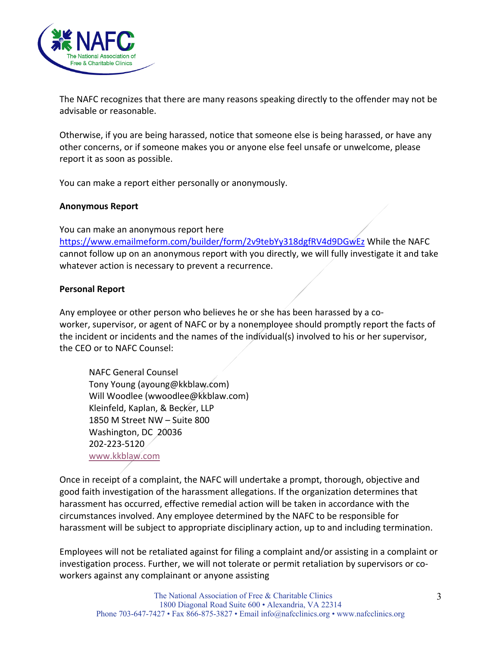

The NAFC recognizes that there are many reasons speaking directly to the offender may not be advisable or reasonable.

Otherwise, if you are being harassed, notice that someone else is being harassed, or have any other concerns, or if someone makes you or anyone else feel unsafe or unwelcome, please report it as soon as possible.

You can make a report either personally or anonymously.

### **Anonymous Report**

You can make an anonymous report here https://www.emailmeform.com/builder/form/2v9tebYy318dgfRV4d9DGwEz While the NAFC cannot follow up on an anonymous report with you directly, we will fully investigate it and take whatever action is necessary to prevent a recurrence.

# **Personal Report**

Any employee or other person who believes he or she has been harassed by a coworker, supervisor, or agent of NAFC or by a nonemployee should promptly report the facts of the incident or incidents and the names of the individual(s) involved to his or her supervisor, the CEO or to NAFC Counsel:

NAFC General Counsel Tony Young (ayoung@kkblaw.com) Will Woodlee (wwoodlee@kkblaw.com) Kleinfeld, Kaplan, & Becker, LLP 1850 M Street NW – Suite 800 Washington, DC 20036 202-223-5120 www.kkblaw.com

Once in receipt of a complaint, the NAFC will undertake a prompt, thorough, objective and good faith investigation of the harassment allegations. If the organization determines that harassment has occurred, effective remedial action will be taken in accordance with the circumstances involved. Any employee determined by the NAFC to be responsible for harassment will be subject to appropriate disciplinary action, up to and including termination.

Employees will not be retaliated against for filing a complaint and/or assisting in a complaint or investigation process. Further, we will not tolerate or permit retaliation by supervisors or coworkers against any complainant or anyone assisting